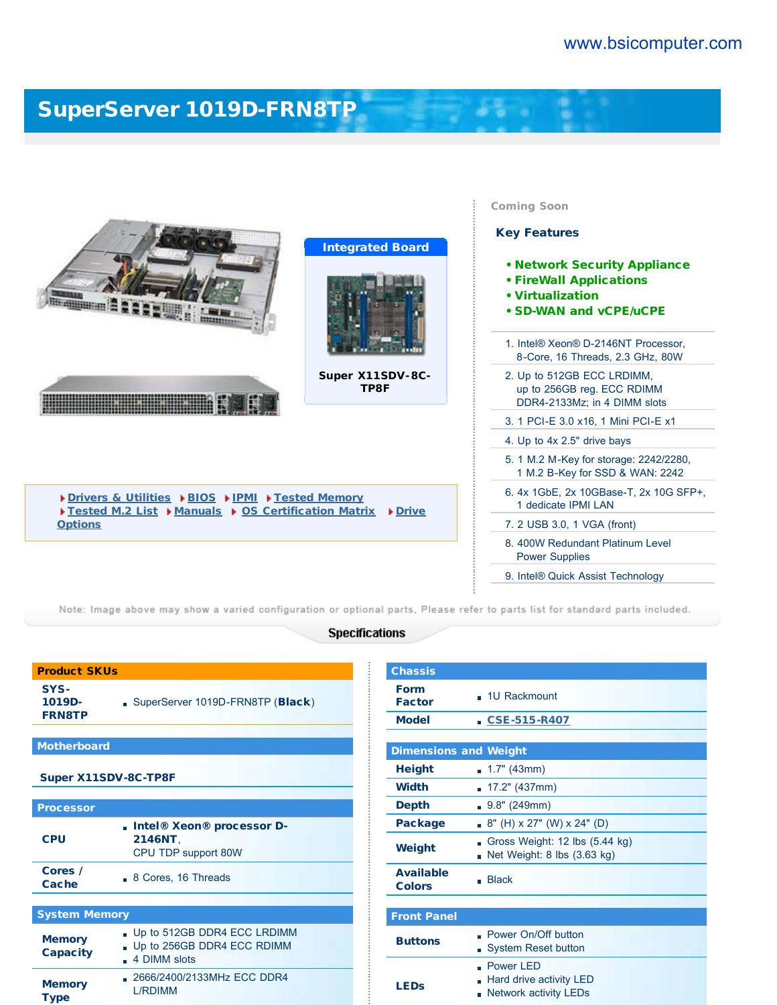t

 $\label{eq:2.1} \frac{1}{2} \left( \frac{1}{2} \right) \left( \frac{1}{2} \right) = \frac{1}{2} \left( \frac{1}{2} \right)$ 

## [SuperServer 1019D-FRN8TP](https://www.bsicomputer.com/products/1019d-frn8tp-19053)

|                                                                                                                                                   |                          | <b>Coming Soon</b><br><b>Key Features</b>                                                                    |
|---------------------------------------------------------------------------------------------------------------------------------------------------|--------------------------|--------------------------------------------------------------------------------------------------------------|
| ------------                                                                                                                                      | <b>Integrated Board</b>  | . Network Security Appliance<br><b>• FireWall Applications</b><br>• Virtualization<br>• SD-WAN and vCPE/uCPE |
|                                                                                                                                                   |                          | 1. Intel® Xeon® D-2146NT Processor.<br>8-Core, 16 Threads, 2.3 GHz, 80W                                      |
|                                                                                                                                                   | Super X11SDV-8C-<br>TP8F | 2. Up to 512GB ECC LRDIMM,<br>up to 256GB reg. ECC RDIMM<br>DDR4-2133Mz; in 4 DIMM slots                     |
|                                                                                                                                                   |                          | 3. 1 PCI-E 3.0 x16, 1 Mini PCI-E x1                                                                          |
|                                                                                                                                                   |                          | 4. Up to 4x 2.5" drive bays                                                                                  |
|                                                                                                                                                   |                          | 5. 1 M.2 M-Key for storage: 2242/2280,<br>1 M.2 B-Key for SSD & WAN: 2242                                    |
| Drivers & Utilities DBIOS DIPMI DTested Memory<br>Tested M.2 List ▶ Manuals ▶ OS Certification Matrix<br>$\triangleright$ Drive<br><b>Options</b> |                          | 6. 4x 1GbE, 2x 10GBase-T, 2x 10G SFP+,<br>1 dedicate IPMI LAN                                                |
|                                                                                                                                                   |                          | 7. 2 USB 3.0, 1 VGA (front)                                                                                  |
|                                                                                                                                                   |                          | 8. 400W Redundant Platinum Level<br><b>Power Supplies</b>                                                    |
|                                                                                                                                                   |                          | 9. Intel® Quick Assist Technology                                                                            |

Note: Image above may show a varied configuration or optional parts, Please refer to parts list for standard parts included.

## **Specifications**

| <b>Product SKUs</b>              |                                                                             |  |
|----------------------------------|-----------------------------------------------------------------------------|--|
| SYS-<br>1019D-<br><b>FRN8TP</b>  | SuperServer 1019D-FRN8TP (Black)                                            |  |
|                                  |                                                                             |  |
| <b>Motherboard</b>               |                                                                             |  |
|                                  | Super X11SDV-8C-TP8F                                                        |  |
|                                  |                                                                             |  |
| <b>Processor</b>                 |                                                                             |  |
| <b>CPU</b>                       | . Intel® Xeon® processor D-<br>2146NT.<br>CPU TDP support 80W               |  |
| Cores /<br>Cache                 | 8 Cores, 16 Threads                                                         |  |
|                                  |                                                                             |  |
| <b>System Memory</b>             |                                                                             |  |
| <b>Memory</b><br><b>Capacity</b> | Up to 512GB DDR4 ECC LRDIMM<br>. Up to 256GB DDR4 ECC RDIMM<br>4 DIMM slots |  |
| <b>Memory</b><br><b>Type</b>     | 2666/2400/2133MHz ECC DDR4<br>I /RDIMM                                      |  |

| <b>Chassis</b>                    |                                                                           |  |  |
|-----------------------------------|---------------------------------------------------------------------------|--|--|
| <b>Form</b><br><b>Factor</b>      | - 1U Rackmount                                                            |  |  |
| <b>Model</b>                      | $\sqrt{CSE-515-R407}$                                                     |  |  |
|                                   |                                                                           |  |  |
| <b>Dimensions and Weight</b>      |                                                                           |  |  |
| <b>Height</b>                     | $\blacksquare$ 1.7" (43mm)                                                |  |  |
| Width                             | 17.2" (437mm)<br>٠                                                        |  |  |
| <b>Depth</b>                      | 9.8" (249mm)                                                              |  |  |
| Package                           | 8" (H) x 27" (W) x 24" (D)<br>'n                                          |  |  |
| Weight                            | Gross Weight: 12 lbs (5.44 kg)<br>Net Weight: 8 lbs (3.63 kg)             |  |  |
| <b>Available</b><br><b>Colors</b> | <b>Black</b>                                                              |  |  |
|                                   |                                                                           |  |  |
| <b>Front Panel</b>                |                                                                           |  |  |
| <b>Buttons</b>                    | Power On/Off button<br><b>System Reset button</b><br>п                    |  |  |
| <b>LEDs</b>                       | Power LED<br>Hard drive activity LED<br><b>Network activity LEDs</b><br>п |  |  |